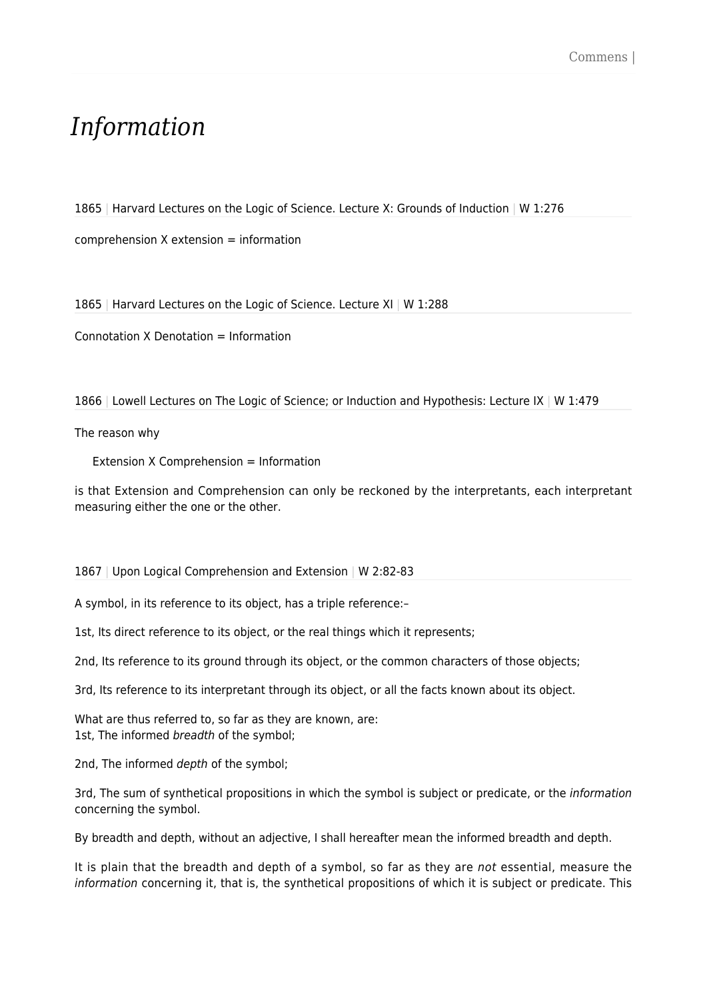## *Information*

1865 | Harvard Lectures on the Logic of Science. Lecture X: Grounds of Induction | W 1:276

comprehension X extension = information

1865 | Harvard Lectures on the Logic of Science. Lecture XI | W 1:288

Connotation X Denotation = Information

1866 | Lowell Lectures on The Logic of Science; or Induction and Hypothesis: Lecture IX | W 1:479

The reason why

Extension X Comprehension = Information

is that Extension and Comprehension can only be reckoned by the interpretants, each interpretant measuring either the one or the other.

1867 | Upon Logical Comprehension and Extension | W 2:82-83

A symbol, in its reference to its object, has a triple reference:–

1st, Its direct reference to its object, or the real things which it represents;

2nd, Its reference to its ground through its object, or the common characters of those objects;

3rd, Its reference to its interpretant through its object, or all the facts known about its object.

What are thus referred to, so far as they are known, are: 1st, The informed breadth of the symbol;

2nd, The informed depth of the symbol;

3rd, The sum of synthetical propositions in which the symbol is subject or predicate, or the information concerning the symbol.

By breadth and depth, without an adjective, I shall hereafter mean the informed breadth and depth.

It is plain that the breadth and depth of a symbol, so far as they are not essential, measure the information concerning it, that is, the synthetical propositions of which it is subject or predicate. This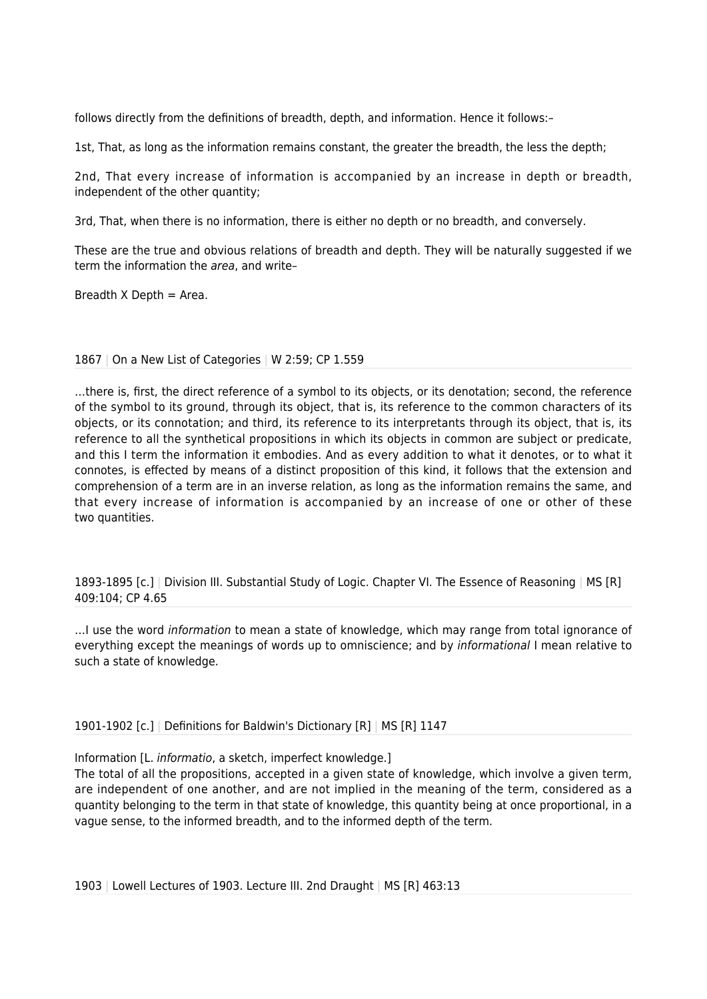follows directly from the definitions of breadth, depth, and information. Hence it follows:–

1st, That, as long as the information remains constant, the greater the breadth, the less the depth;

2nd, That every increase of information is accompanied by an increase in depth or breadth, independent of the other quantity;

3rd, That, when there is no information, there is either no depth or no breadth, and conversely.

These are the true and obvious relations of breadth and depth. They will be naturally suggested if we term the information the area, and write-

Breadth  $X$  Depth = Area.

## 1867 | On a New List of Categories | W 2:59; CP 1.559

…there is, first, the direct reference of a symbol to its objects, or its denotation; second, the reference of the symbol to its ground, through its object, that is, its reference to the common characters of its objects, or its connotation; and third, its reference to its interpretants through its object, that is, its reference to all the synthetical propositions in which its objects in common are subject or predicate, and this I term the information it embodies. And as every addition to what it denotes, or to what it connotes, is effected by means of a distinct proposition of this kind, it follows that the extension and comprehension of a term are in an inverse relation, as long as the information remains the same, and that every increase of information is accompanied by an increase of one or other of these two quantities.

1893-1895 [c.] | Division III. Substantial Study of Logic. Chapter VI. The Essence of Reasoning | MS [R] 409:104; CP 4.65

... I use the word *information* to mean a state of knowledge, which may range from total ignorance of everything except the meanings of words up to omniscience; and by *informational* I mean relative to such a state of knowledge.

1901-1902 [c.] | Definitions for Baldwin's Dictionary [R] | MS [R] 1147

Information [L. informatio, a sketch, imperfect knowledge.]

The total of all the propositions, accepted in a given state of knowledge, which involve a given term, are independent of one another, and are not implied in the meaning of the term, considered as a quantity belonging to the term in that state of knowledge, this quantity being at once proportional, in a vague sense, to the informed breadth, and to the informed depth of the term.

1903 | Lowell Lectures of 1903. Lecture III. 2nd Draught | MS [R] 463:13